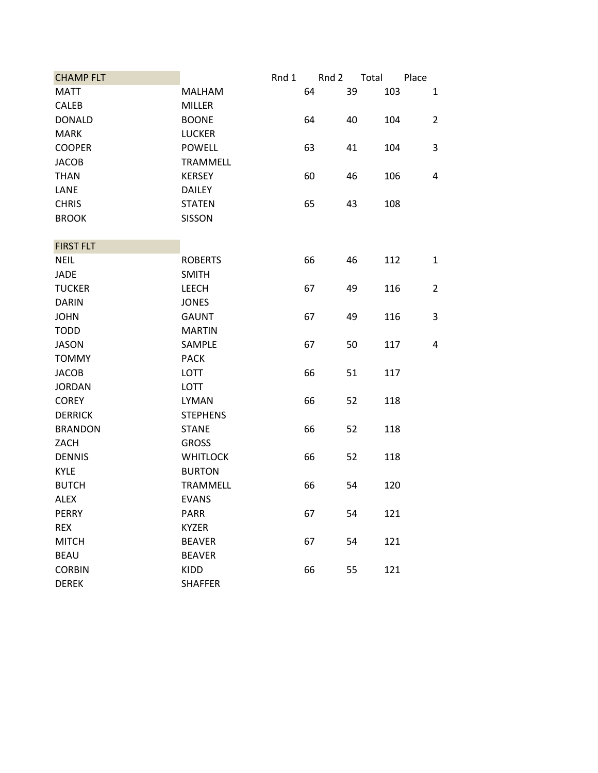| <b>CHAMP FLT</b> |                 | Rnd 1 | Rnd 2 | Total | Place |                |
|------------------|-----------------|-------|-------|-------|-------|----------------|
| <b>MATT</b>      | MALHAM          | 64    |       | 39    | 103   | $\mathbf{1}$   |
| <b>CALEB</b>     | <b>MILLER</b>   |       |       |       |       |                |
| <b>DONALD</b>    | <b>BOONE</b>    | 64    |       | 40    | 104   | $\overline{2}$ |
| <b>MARK</b>      | <b>LUCKER</b>   |       |       |       |       |                |
| <b>COOPER</b>    | <b>POWELL</b>   | 63    |       | 41    | 104   | 3              |
| <b>JACOB</b>     | <b>TRAMMELL</b> |       |       |       |       |                |
| <b>THAN</b>      | <b>KERSEY</b>   | 60    |       | 46    | 106   | 4              |
| LANE             | <b>DAILEY</b>   |       |       |       |       |                |
| <b>CHRIS</b>     | <b>STATEN</b>   | 65    |       | 43    | 108   |                |
| <b>BROOK</b>     | <b>SISSON</b>   |       |       |       |       |                |
|                  |                 |       |       |       |       |                |
| <b>FIRST FLT</b> |                 |       |       |       |       |                |
| <b>NEIL</b>      | <b>ROBERTS</b>  | 66    |       | 46    | 112   | $\mathbf{1}$   |
| <b>JADE</b>      | <b>SMITH</b>    |       |       |       |       |                |
| <b>TUCKER</b>    | <b>LEECH</b>    | 67    |       | 49    | 116   | $\overline{2}$ |
| <b>DARIN</b>     | <b>JONES</b>    |       |       |       |       |                |
| <b>JOHN</b>      | <b>GAUNT</b>    | 67    |       | 49    | 116   | 3              |
| <b>TODD</b>      | <b>MARTIN</b>   |       |       |       |       |                |
| <b>JASON</b>     | SAMPLE          | 67    |       | 50    | 117   | 4              |
| <b>TOMMY</b>     | <b>PACK</b>     |       |       |       |       |                |
| <b>JACOB</b>     | LOTT            | 66    |       | 51    | 117   |                |
| <b>JORDAN</b>    | <b>LOTT</b>     |       |       |       |       |                |
| <b>COREY</b>     | <b>LYMAN</b>    | 66    |       | 52    | 118   |                |
| <b>DERRICK</b>   | <b>STEPHENS</b> |       |       |       |       |                |
| <b>BRANDON</b>   | <b>STANE</b>    | 66    |       | 52    | 118   |                |
| ZACH             | <b>GROSS</b>    |       |       |       |       |                |
| <b>DENNIS</b>    | <b>WHITLOCK</b> | 66    |       | 52    | 118   |                |
| <b>KYLE</b>      | <b>BURTON</b>   |       |       |       |       |                |
| <b>BUTCH</b>     | <b>TRAMMELL</b> | 66    |       | 54    | 120   |                |
| <b>ALEX</b>      | <b>EVANS</b>    |       |       |       |       |                |
| <b>PERRY</b>     | <b>PARR</b>     | 67    |       | 54    | 121   |                |
| <b>REX</b>       | <b>KYZER</b>    |       |       |       |       |                |
| <b>MITCH</b>     | <b>BEAVER</b>   | 67    |       | 54    | 121   |                |
| <b>BEAU</b>      | <b>BEAVER</b>   |       |       |       |       |                |
| <b>CORBIN</b>    | KIDD            | 66    |       | 55    | 121   |                |
| <b>DEREK</b>     | <b>SHAFFER</b>  |       |       |       |       |                |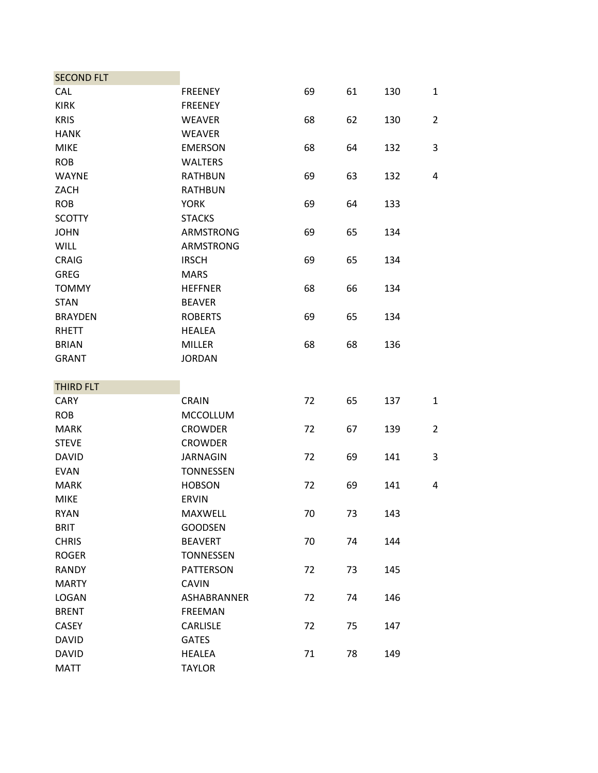| <b>SECOND FLT</b> |                  |    |    |     |                |
|-------------------|------------------|----|----|-----|----------------|
| CAL               | <b>FREENEY</b>   | 69 | 61 | 130 | $\mathbf{1}$   |
| <b>KIRK</b>       | <b>FREENEY</b>   |    |    |     |                |
| <b>KRIS</b>       | <b>WEAVER</b>    | 68 | 62 | 130 | $\overline{2}$ |
| <b>HANK</b>       | <b>WEAVER</b>    |    |    |     |                |
| <b>MIKE</b>       | <b>EMERSON</b>   | 68 | 64 | 132 | 3              |
| <b>ROB</b>        | <b>WALTERS</b>   |    |    |     |                |
| <b>WAYNE</b>      | <b>RATHBUN</b>   | 69 | 63 | 132 | 4              |
| ZACH              | <b>RATHBUN</b>   |    |    |     |                |
| <b>ROB</b>        | <b>YORK</b>      | 69 | 64 | 133 |                |
| <b>SCOTTY</b>     | <b>STACKS</b>    |    |    |     |                |
| <b>JOHN</b>       | <b>ARMSTRONG</b> | 69 | 65 | 134 |                |
| <b>WILL</b>       | <b>ARMSTRONG</b> |    |    |     |                |
| <b>CRAIG</b>      | <b>IRSCH</b>     | 69 | 65 | 134 |                |
| <b>GREG</b>       | <b>MARS</b>      |    |    |     |                |
| <b>TOMMY</b>      | <b>HEFFNER</b>   | 68 | 66 | 134 |                |
| <b>STAN</b>       | <b>BEAVER</b>    |    |    |     |                |
| <b>BRAYDEN</b>    | <b>ROBERTS</b>   | 69 | 65 | 134 |                |
| <b>RHETT</b>      | <b>HEALEA</b>    |    |    |     |                |
| <b>BRIAN</b>      | <b>MILLER</b>    | 68 | 68 | 136 |                |
| <b>GRANT</b>      | <b>JORDAN</b>    |    |    |     |                |
|                   |                  |    |    |     |                |
| THIRD FLT         |                  |    |    |     |                |
| <b>CARY</b>       | <b>CRAIN</b>     | 72 | 65 | 137 | $\mathbf{1}$   |
| <b>ROB</b>        | <b>MCCOLLUM</b>  |    |    |     |                |
| <b>MARK</b>       | <b>CROWDER</b>   | 72 | 67 | 139 | $\overline{2}$ |
| <b>STEVE</b>      | <b>CROWDER</b>   |    |    |     |                |
| <b>DAVID</b>      | <b>JARNAGIN</b>  | 72 | 69 | 141 | 3              |
| <b>EVAN</b>       | <b>TONNESSEN</b> |    |    |     |                |
| <b>MARK</b>       | <b>HOBSON</b>    | 72 | 69 | 141 | 4              |
| <b>MIKE</b>       | <b>ERVIN</b>     |    |    |     |                |
| <b>RYAN</b>       | MAXWELL          | 70 | 73 | 143 |                |
| <b>BRIT</b>       | <b>GOODSEN</b>   |    |    |     |                |
| <b>CHRIS</b>      | <b>BEAVERT</b>   | 70 | 74 | 144 |                |
| <b>ROGER</b>      | <b>TONNESSEN</b> |    |    |     |                |
| RANDY             | <b>PATTERSON</b> | 72 | 73 | 145 |                |
| <b>MARTY</b>      | <b>CAVIN</b>     |    |    |     |                |
| <b>LOGAN</b>      | ASHABRANNER      | 72 | 74 | 146 |                |
| <b>BRENT</b>      | <b>FREEMAN</b>   |    |    |     |                |
| <b>CASEY</b>      | <b>CARLISLE</b>  | 72 | 75 | 147 |                |
| <b>DAVID</b>      | <b>GATES</b>     |    |    |     |                |
| <b>DAVID</b>      | <b>HEALEA</b>    | 71 | 78 | 149 |                |
| <b>MATT</b>       | <b>TAYLOR</b>    |    |    |     |                |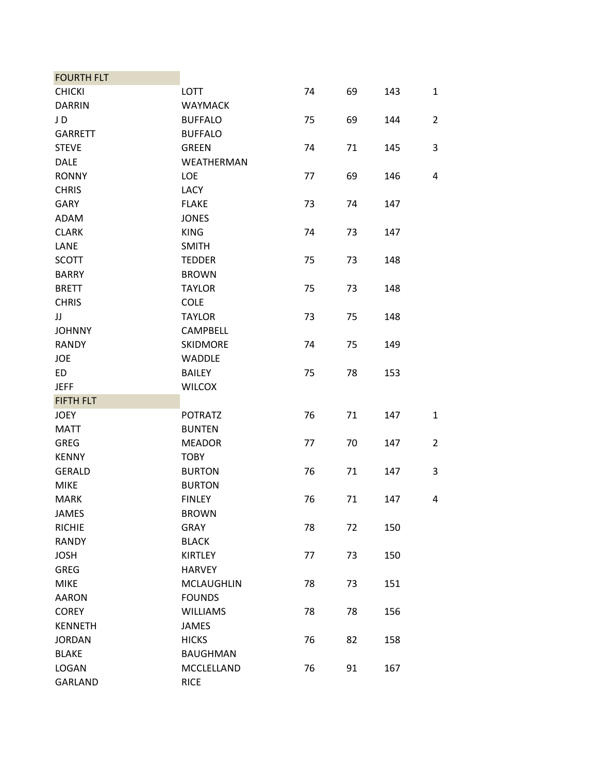| <b>FOURTH FLT</b> |                   |    |    |     |                |
|-------------------|-------------------|----|----|-----|----------------|
| <b>CHICKI</b>     | <b>LOTT</b>       | 74 | 69 | 143 | $\mathbf{1}$   |
| <b>DARRIN</b>     | <b>WAYMACK</b>    |    |    |     |                |
| JD                | <b>BUFFALO</b>    | 75 | 69 | 144 | $\overline{2}$ |
| <b>GARRETT</b>    | <b>BUFFALO</b>    |    |    |     |                |
| <b>STEVE</b>      | <b>GREEN</b>      | 74 | 71 | 145 | 3              |
| <b>DALE</b>       | WEATHERMAN        |    |    |     |                |
| <b>RONNY</b>      | LOE               | 77 | 69 | 146 | 4              |
| <b>CHRIS</b>      | LACY              |    |    |     |                |
| <b>GARY</b>       | <b>FLAKE</b>      | 73 | 74 | 147 |                |
| ADAM              | <b>JONES</b>      |    |    |     |                |
| <b>CLARK</b>      | <b>KING</b>       | 74 | 73 | 147 |                |
| LANE              | <b>SMITH</b>      |    |    |     |                |
| <b>SCOTT</b>      | <b>TEDDER</b>     | 75 | 73 | 148 |                |
| <b>BARRY</b>      | <b>BROWN</b>      |    |    |     |                |
| <b>BRETT</b>      | <b>TAYLOR</b>     | 75 | 73 | 148 |                |
| <b>CHRIS</b>      | <b>COLE</b>       |    |    |     |                |
| JJ                | <b>TAYLOR</b>     | 73 | 75 | 148 |                |
| <b>JOHNNY</b>     | <b>CAMPBELL</b>   |    |    |     |                |
| <b>RANDY</b>      | <b>SKIDMORE</b>   | 74 | 75 | 149 |                |
| <b>JOE</b>        | <b>WADDLE</b>     |    |    |     |                |
| <b>ED</b>         | <b>BAILEY</b>     | 75 | 78 | 153 |                |
| <b>JEFF</b>       | <b>WILCOX</b>     |    |    |     |                |
| <b>FIFTH FLT</b>  |                   |    |    |     |                |
| <b>JOEY</b>       | <b>POTRATZ</b>    | 76 | 71 | 147 | $\mathbf{1}$   |
| <b>MATT</b>       | <b>BUNTEN</b>     |    |    |     |                |
| <b>GREG</b>       | <b>MEADOR</b>     | 77 | 70 | 147 | $\overline{2}$ |
| <b>KENNY</b>      | <b>TOBY</b>       |    |    |     |                |
| <b>GERALD</b>     | <b>BURTON</b>     | 76 | 71 | 147 | 3              |
| <b>MIKE</b>       | <b>BURTON</b>     |    |    |     |                |
| <b>MARK</b>       | <b>FINLEY</b>     | 76 | 71 | 147 | 4              |
| <b>JAMES</b>      | <b>BROWN</b>      |    |    |     |                |
| <b>RICHIE</b>     | GRAY              | 78 | 72 | 150 |                |
| <b>RANDY</b>      | <b>BLACK</b>      |    |    |     |                |
| <b>JOSH</b>       | <b>KIRTLEY</b>    | 77 | 73 | 150 |                |
| <b>GREG</b>       | <b>HARVEY</b>     |    |    |     |                |
| <b>MIKE</b>       | <b>MCLAUGHLIN</b> | 78 | 73 | 151 |                |
| <b>AARON</b>      | <b>FOUNDS</b>     |    |    |     |                |
| <b>COREY</b>      | <b>WILLIAMS</b>   | 78 | 78 | 156 |                |
| <b>KENNETH</b>    | <b>JAMES</b>      |    |    |     |                |
| <b>JORDAN</b>     | <b>HICKS</b>      | 76 | 82 | 158 |                |
| <b>BLAKE</b>      | <b>BAUGHMAN</b>   |    |    |     |                |
| LOGAN             | MCCLELLAND        | 76 | 91 | 167 |                |
| <b>GARLAND</b>    | <b>RICE</b>       |    |    |     |                |